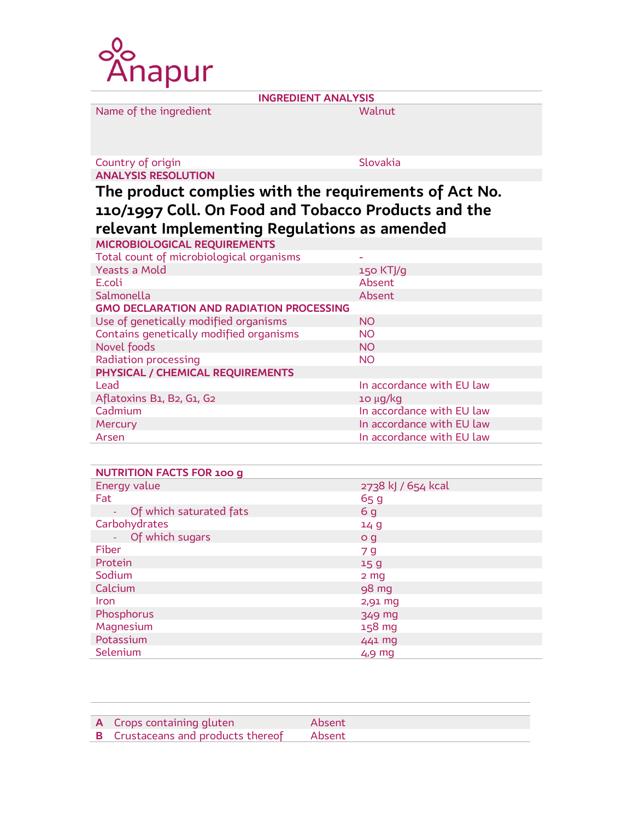

INGREDIENT ANALYSIS

Name of the ingredient Walnut

## Country of origin Slovakia ANALYSIS RESOLUTION

## The product complies with the requirements of Act No. 110/1997 Coll. On Food and Tobacco Products and the relevant Implementing Regulations as amended

| MICROBIOLOGICAL REQUIREMENTS                    |                           |  |  |  |
|-------------------------------------------------|---------------------------|--|--|--|
| Total count of microbiological organisms        |                           |  |  |  |
| Yeasts a Mold                                   | $150$ KTJ/g               |  |  |  |
| E.coli                                          | Absent                    |  |  |  |
| Salmonella                                      | Absent                    |  |  |  |
| <b>GMO DECLARATION AND RADIATION PROCESSING</b> |                           |  |  |  |
| Use of genetically modified organisms           | <b>NO</b>                 |  |  |  |
| Contains genetically modified organisms         | <b>NO</b>                 |  |  |  |
| Novel foods                                     | <b>NO</b>                 |  |  |  |
| Radiation processing                            | <b>NO</b>                 |  |  |  |
| PHYSICAL / CHEMICAL REQUIREMENTS                |                           |  |  |  |
| Lead                                            | In accordance with EU law |  |  |  |
| Aflatoxins B1, B2, G1, G2                       | $10 \mu q/kg$             |  |  |  |
| Cadmium                                         | In accordance with EU law |  |  |  |
| <b>Mercury</b>                                  | In accordance with EU law |  |  |  |
| Arsen                                           | In accordance with EU law |  |  |  |

| <b>NUTRITION FACTS FOR 100 g</b> |                    |
|----------------------------------|--------------------|
| Energy value                     | 2738 kJ / 654 kcal |
| Fat                              | 65g                |
| - Of which saturated fats        | 6 <sub>g</sub>     |
| Carbohydrates                    | 14 <sub>g</sub>    |
| Of which sugars                  | o g                |
| Fiber                            | 7 q                |
| Protein                          | 15 <sub>g</sub>    |
| Sodium                           | 2 <sub>mg</sub>    |
| Calcium                          | 98 mg              |
| <b>Iron</b>                      | $2,91$ mg          |
| Phosphorus                       | 349 mg             |
| Magnesium                        | 158 mg             |
| Potassium                        | 441 mg             |
| Selenium                         | $4,9$ mg           |

| <b>A</b> Crops containing gluten          | Absent |
|-------------------------------------------|--------|
| <b>B</b> Crustaceans and products thereof | Absent |